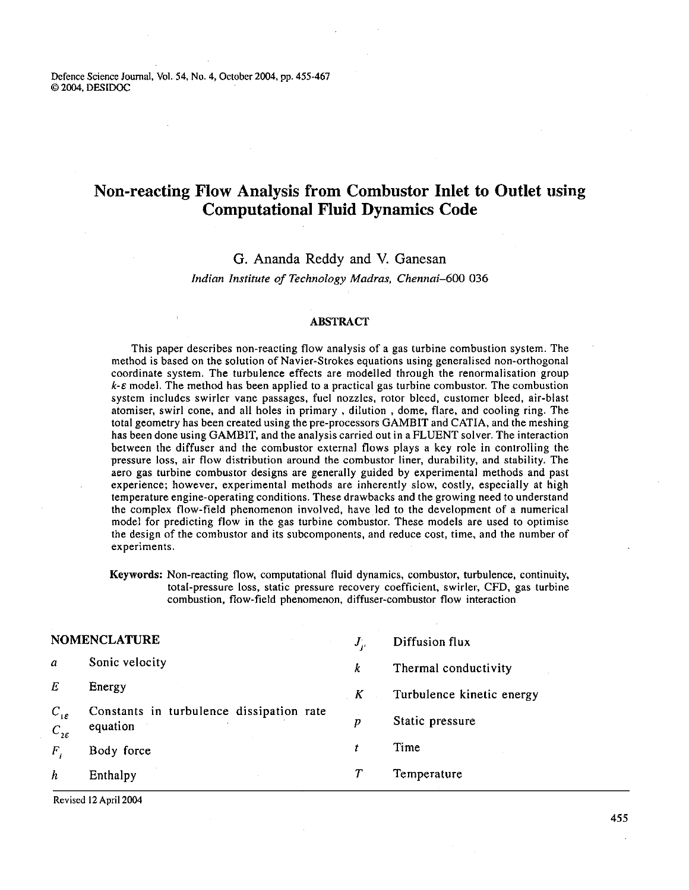Defence Science Joumal, Vol. **54,** No. 4, October **2004,** pp. **455-467**  O **2004,** DESIDOC

# **Non-reacting Flow Analysis from Combustor Inlet to Outlet using Computational Fluid Dynamics Code**

# G. Ananda Reddy and V. Ganesan

*Indian Institute of Technology Madras, Chennai*-600 036

### ABSTRACT

This paper describes non-reacting flow analysis of a gas turbine combustion system. The method is based on the solution of Navier-Strokes equations using generalised non-orthogonal coordinate system. The turbulence effects are modelled through the renormalisation group  $k$ - $\varepsilon$  model. The method has been applied to a practical gas turbine combustor. The combustion system includes swirler vane passages, fuel nozzles, rotor bleed, customer bleed, air-blast atomiser, swirl cone, and all holes in primary , dilution , dome, flare, and cooling ring. The total geometry has been created using the pre-processors GAMBIT and CATIA, and the meshing has been done using GAMBIT, and the analysis carried out in a FLUENT solver. The interaction between the diffuser and the combustor external flows plays a key role in controlling the pressure loss, air flow distribution around the combustor liner, durability, and stability. The aero gas turbine combustor designs are generally guided by experimental methods and past experience; however, experimental methods are inherently slow, costly, especially at high temperature engine-operating conditions. These drawbacks and the growing need to understand the complex flow-field phenomenon involved, have led to the development of a numerical model for predicting flow in the gas turbine combustor. These models are used to optimise the design of the combustor and its subcomponents, and reduce cost, time, and the number of experiments.

**Keywords:** Non-reacting flow, computational fluid dynamics, combustor, turbulence, continuity, total-pressure loss, static pressure recovery coefficient, swirler, CFD, gas turbine combustion, flow-field phenomenon, diffuser-combustor flow interaction

|                                                     | <b>NOMENCLATURE</b>                                  | $J_{\nu}$ | Diffusion flux            |
|-----------------------------------------------------|------------------------------------------------------|-----------|---------------------------|
| $\boldsymbol{a}$                                    | Sonic velocity                                       | k         | Thermal conductivity      |
| Е                                                   | Energy                                               | K         | Turbulence kinetic energy |
| $C_{1\varepsilon}$<br>$C_{\mathfrak{z}\varepsilon}$ | Constants in turbulence dissipation rate<br>equation | D         | Static pressure           |
| $\bm{F}$                                            | Body force                                           | t         | Time                      |
| h                                                   | Enthalpy                                             |           | Temperature               |

Revised **12** April **2004**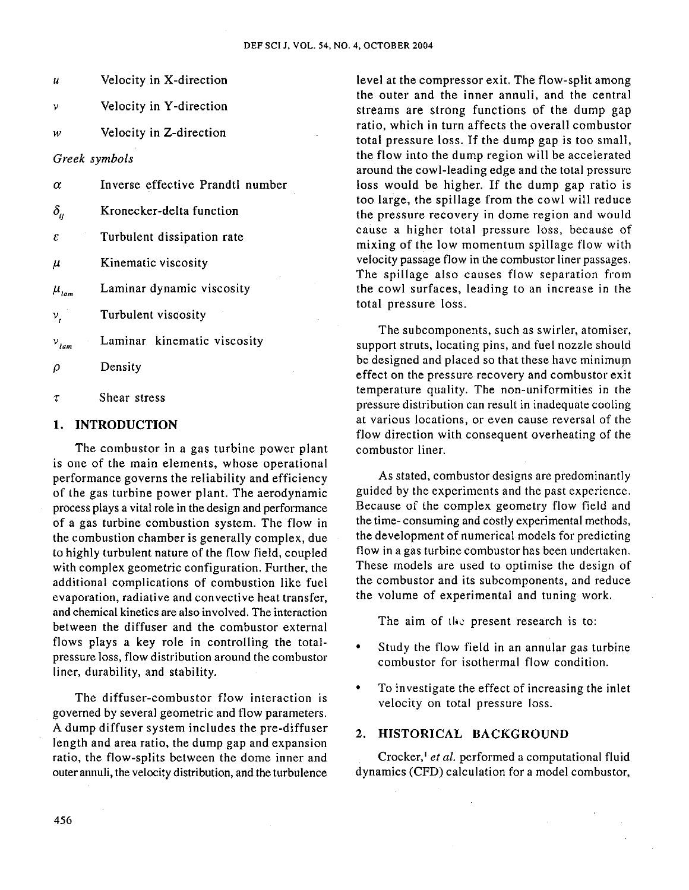- **u** Velocity in X-direction
- $\nu$  Velocity in Y-direction
- w Velocity in Z-direction

*Greek symbols* 

- **a** Inverse effective Prandtl number
- $\delta_{ii}$  Kronecker-delta function
- $\epsilon$  Turbulent dissipation rate
- $\mu$  Kinematic viscosity
- $\mu_{\text{tan}}$  Laminar dynamic viscosity

 $v_t$  Turbulent viscosity

- $v_{\text{lam}}$  Laminar kinematic viscosity
- $\rho$  Density
- **z** Shear stress

### 1. INTRODUCTION

The combustor in a gas turbine power plant is one of the main elements, whose operational performance governs the reliability and efficiency of the gas turbine power plant. The aerodynamic process plays a vital role in the design and performance of a gas turbine combustion system. The flow in the combustion chamber is generally complex, due to highly turbulent nature of the flow field, coupled with complex geometric configuration. Further, the additional complications of combustion like fuel evaporation, radiative and convective heat transfer, and chemical kinetics are also involved. The interaction between the diffuser and the combustor external flows plays a key role in controlling the totalpressure loss, flow distribution around the combustor liner, durability, and stability.

The diffuser-combustor flow interaction is velocity on total pressure loss. governed by several geometric and flow parameters. A dump diffuser system includes the pre-diffuser **2.** HISTORICAL BACKGROUND length and area ratio, the dump gap and expansion ratio, the flow-splits between the dome inner and Crocker,<sup>1</sup> et al. performed a computational fluid outer annuli, the velocity distribution, and the turbulence dynamics (CFD) calculation for a model combustor,

level at the compressor exit. The flow-split among the outer and the inner annuli, and the central streams are strong functions of the dump gap ratio, which in turn affects the overall combustor total pressure loss. If the dump gap is too small, the flow into the dump region will be accelerated around the cowl-leading edge and the total pressure loss would be higher. If the dump gap ratio is too large, the spillage from the cowl will reduce the pressure recovery in dome region and would cause a higher total pressure loss, because of mixing of the low momentum spillage flow with velocity passage flow in the combustor liner passages. The spillage also causes flow separation from the cowl surfaces, leading to an increase in the total pressure loss.

The subcomponents, such as swirler, atomiser, support struts, locating pins, and fuel nozzle should be designed and placed so that these have minimum effect on the pressure recovery and combustor exit temperature quality. The non-uniformities in the pressure distribution can result in inadequate cooling at various locations, or even cause reversal of the flow direction with consequent overheating of the combustor liner.

As stated, combustor designs are predominantly guided by the experiments and the past experience. Because of the complex geometry flow field and the time- consuming and costly experimental methods, the development of numerical models for predicting flow in a gas turbine combustor has been undertaken. These models are used to optimise the design of the combustor and its subcomponents, and reduce the volume of experimental and tuning work.

The aim of the present research is to:

- Study the flow field in an annular gas turbine combustor for isothermal flow condition.
- $\bullet$ To investigate the effect of increasing the inlet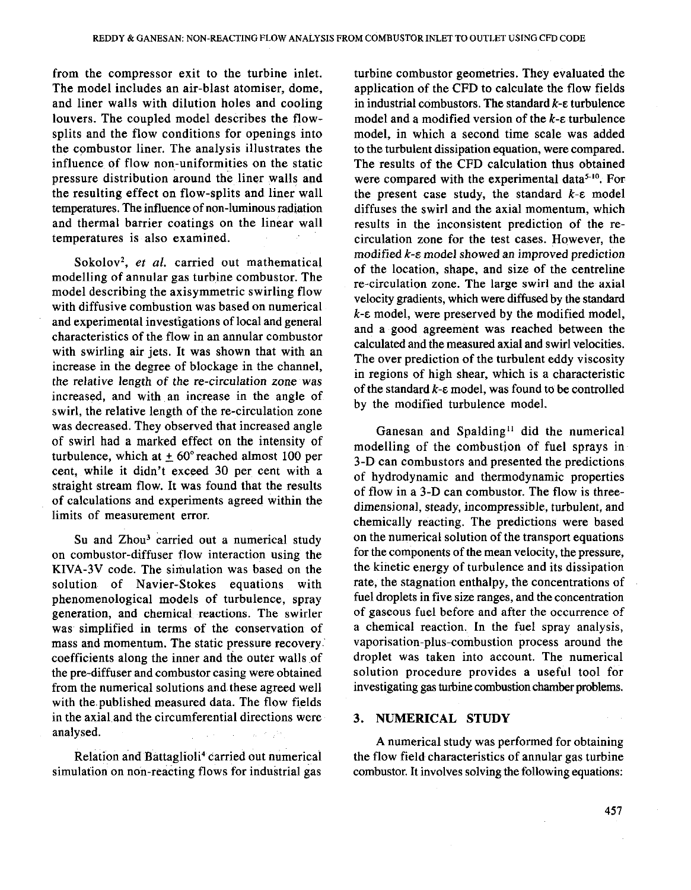from the compressor exit to the turbine inlet. The model includes an air-blast atomiser, dome, and liner walls with dilution holes and cooling louvers. The coupled model describes the flowsplits and the flow conditions for openings into the combustor liner. The analysis illustrates the influence of flow non-uniformities on the static pressure distribution around the liner walls and the resulting effect on flow-splits and liner wall temperatures. The influence of non-luminous radiation and thermal barrier coatings on the linear wall temperatures is also examined.

Sokolov<sup>2</sup>, et al. carried out mathematical modelling of annular gas turbine combustor. The model describing the axisymmetric swirling flow with diffusive combustion was based on numerical and experimental investigations of local and general characteristics of the flow in an annular combustor with swirling air jets. It was shown that with an increase in the degree of blockage in the channel, the relative length of the re-circulation zone was increased, and with an increase in the angle of swirl, the relative length of the re-circulation zone was decreased. They observed that increased angle of swirl had a marked effect on the intensity of turbulence, which at  $\pm 60^{\circ}$  reached almost 100 per cent, while it didn't exceed 30 per cent with a straight stream flow. It was found that the results of calculations and experiments agreed within the limits of measurement error.

Su and Zhou<sup>3</sup> carried out a numerical study on combustor-diffuser flow interaction using the **KIVA-3V** code. The simulation was based on the solution of Navier-Stokes equations with phenomenological models of turbulence, spray generation, and chemical reactions. The swirler was simplified in terms of the conservation of mass and momentum. The static pressure recovery coefficients along the inner and the outer walls of the pre-diffuser and combustor casing were obtained from the numerical solutions and these agreed well with the published measured data. The flow fields in the axial and the circumferential directions were analysed.

Relation and Battaglioli<sup>4</sup> carried out numerical simulation on non-reacting flows for industrial gas

turbine combustor geometries. They evaluated the application of the **CFD** to calculate the flow fields in industrial combustors. The standard  $k$ - $\varepsilon$  turbulence model and a modified version of the k- $\epsilon$  turbulence model, in which a second time scale was added to the turbulent dissipation equation, were compared. The results of the **CFD** calculation thus obtained were compared with the experimental data<sup>5-10</sup>. For the present case study, the standard  $k$ - $\varepsilon$  model diffuses the swirl and the axial momentum, which results in the inconsistent prediction of the recirculation zone for the test cases. However, the modified **k-E** model showed an improved prediction of the location, shape, and size of the centreline re-circulation zone. The large swirl and the axial velocity gradients, which were diffused by the standard **k-E** model, were preserved by the modified model, and a good agreement was reached between the calculated and the measured axial and swirl velocities. The over prediction of the turbulent eddy viscosity in regions of high shear, which is a characteristic of the standard  $k$ - $\varepsilon$  model, was found to be controlled by the modified turbulence model.

Ganesan and Spalding<sup>11</sup> did the numerical modelling of the combustion of fuel sprays in **3-D** can combustors and presented the predictions of hydrodynamic and thermodynamic properties of flow in a **3-D** can combustor. The flow is threedimensional, steady, incompressible, turbulent, and chemically reacting. The predictions were based on the numerical solution of the transport equations for the components of the mean velocity, the pressure, the kinetic energy of turbulence and its dissipation rate, the stagnation enthalpy, the concentrations of fuel droplets in five size ranges, and the concentration of gaseous fuel before and after the occurrence of a chemical reaction. In the fuel spray analysis, vaporisation-plus-combustion process around the droplet was taken into account. The numerical solution procedure provides a useful tool for investigating gas turbine combustion chamber problems.

### **3. NUMERICAL STUDY**

A numerical study was performed for obtaining<br>the flow field characteristics of annular gas turbine<br>combutton It involves solving the following constigues combustor. It involves solving the following equations: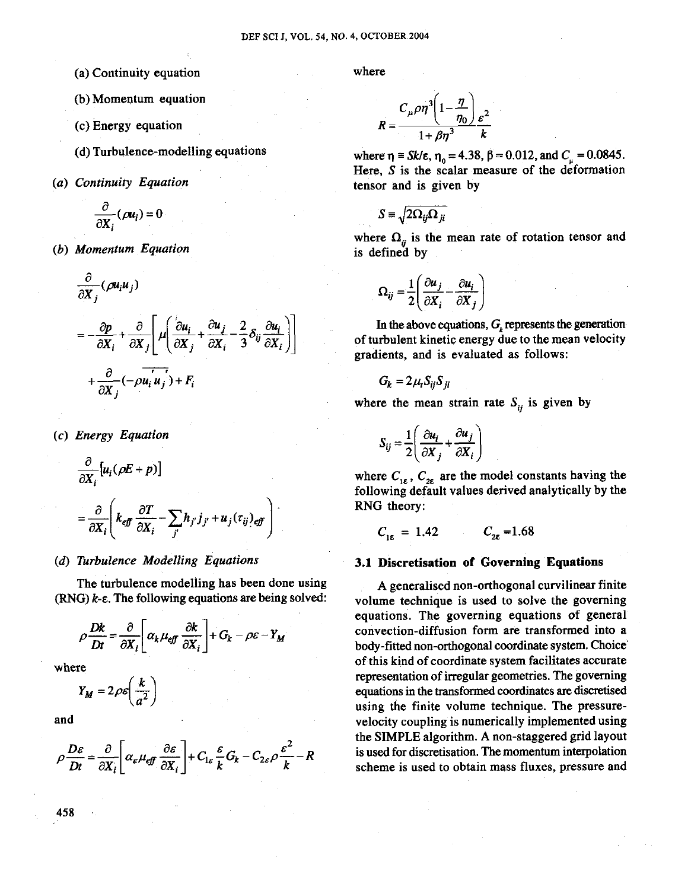- (a) Continuity equation
- (b) Momentum equation
- (c) Energy equation
- (d) Turbulence-modelling equations
- (a) Continuity Equation

$$
\frac{\partial}{\partial X_i}(\rho u_i)=0
$$

(b) Momentum Equation

$$
\frac{\partial}{\partial X_j} (\rho u_i u_j)
$$
\n
$$
= -\frac{\partial p}{\partial X_i} + \frac{\partial}{\partial X_j} \left[ \mu \left( \frac{\partial u_i}{\partial X_j} + \frac{\partial u_j}{\partial X_i} - \frac{2}{3} \delta_{ij} \frac{\partial u_i}{\partial X_i} \right) \right]
$$
\n
$$
+ \frac{\partial}{\partial X_j} (-\rho u_i u_j) + F_i
$$

(c) Energy Equation

$$
\frac{\partial}{\partial X_i} [u_i(\rho E + p)]
$$
  
= 
$$
\frac{\partial}{\partial X_i} \left( k_{\text{eff}} \frac{\partial T}{\partial X_i} - \sum_j h_{j'} j_{j'} + u_j(\tau_{ij})_{\text{eff}} \right)
$$

# **(6)** Turbulence Modelling Equations

The turbulence modelling has been done using  $(RNG)$   $k$ - $\varepsilon$ . The following equations are being solved:

$$
\rho \frac{Dk}{Dt} = \frac{\partial}{\partial X_i} \left[ \alpha_k \mu_{\text{eff}} \frac{\partial k}{\partial X_i} \right] + G_k - \rho \varepsilon - Y_M
$$

where

$$
Y_M = 2\rho \varepsilon \left(\frac{k}{a^2}\right)
$$

and

$$
\rho \frac{D\varepsilon}{Dt} = \frac{\partial}{\partial X_i} \left[ \alpha_{\varepsilon} \mu_{\varepsilon} \frac{\partial \varepsilon}{\partial X_i} \right] + C_{1\varepsilon} \frac{\varepsilon}{k} G_k - C_{2\varepsilon} \rho \frac{\varepsilon^2}{k} - R
$$

where

$$
R = \frac{C_{\mu}\rho\eta^{3}\left(1-\frac{\eta}{\eta_{0}}\right)_{\varepsilon^{2}}}{1+\beta\eta^{3}}
$$

where  $\eta = Sk/\epsilon, \eta_0 = 4.38, \beta = 0.012, \text{ and } C_\mu = 0.0845.$ Here, **S** is the scalar measure of the deformation tensor and is given by

$$
S \equiv \sqrt{2\Omega_{ij}\Omega_{ji}}
$$

where  $\Omega_{ij}$  is the mean rate of rotation tensor and is defined by

$$
\Omega_{ij} = \frac{1}{2} \left( \frac{\partial u_j}{\partial X_i} - \frac{\partial u_i}{\partial X_j} \right)
$$

In the above equations,  $G<sub>k</sub>$  represents the generation of turbulent kinetic energy due to the mean velocity gradients, and is evaluated as follows:

$$
G_k = 2\mu_t S_{ij} S_{ji}
$$

where the mean strain rate  $S_{ij}$  is given by

$$
S_{ij} = \frac{1}{2} \left( \frac{\partial u_i}{\partial X_j} + \frac{\partial u_j}{\partial X_i} \right)
$$

where  $C_{1\varepsilon}$ ,  $C_{2\varepsilon}$  are the model constants having the following default values derived analytically by the RNG theory:

$$
C_{1\epsilon} = 1.42 \qquad C_{2\epsilon} = 1.68
$$

# 3.1 Discretisation of Governing Equations

A generalised non-orthogonal curvilinear finite volume technique is used to solve the governing equations. The governing equations of general convection-diffusion form are transformed into a body-fitted non-orthogonal coordinate system. Choice' of this kind of coordinate svstem facilitates accurate representation of irregular geometries. The governing equations in the transformed coordinates are discretised using the finite volume technique. The pressurevelocity coupling is numerically implemented using the SIMPLE algorithm. A non-staggered grid layout is used for discretisation. The momentum interpolation scheme is used to obtain mass fluxes, pressure and

458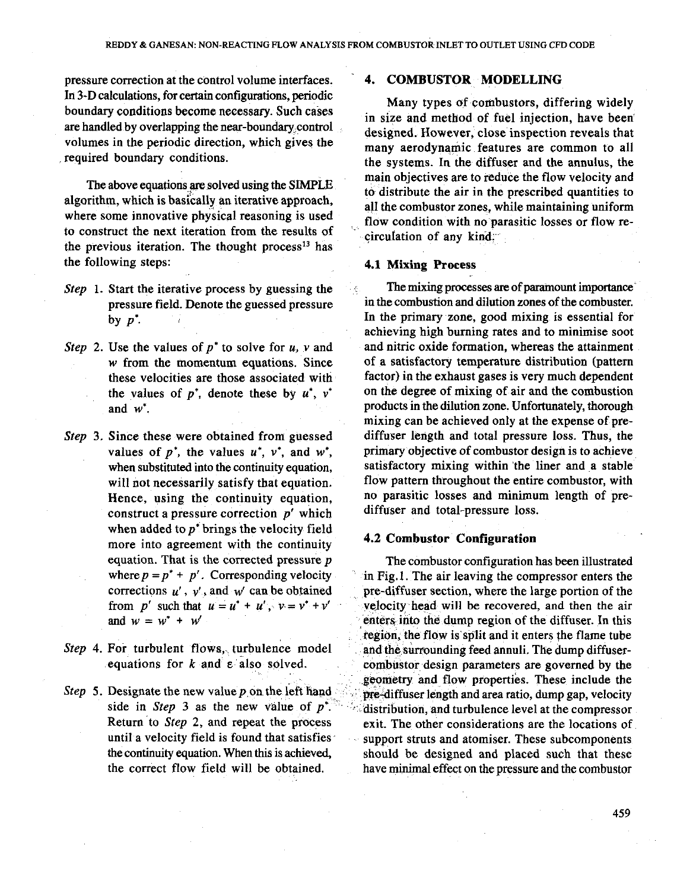$\mathcal{L}_\mathrm{c}$ 

pressure correction at the control volume interfaces. In 3-D calculations, for certain configurations, periodic boundary conditions become necessary. Such cases are handled by overlapping the near-boundary control volumes in the periodic direction, which gives the required boundary conditions.

The above equations aresolved using the SIMPLE algorithm, which is basically an iterative approach, where some innovative physical reasoning is used to construct the next iteration from the results of the previous iteration. The thought process<sup>13</sup> has the following steps:

- Step 1. Start the iterative process by guessing the pressure field. Denote the guessed pressure by  $p^*$ .
- Step 2. Use the values of  $p^*$  to solve for  $u$ ,  $v$  and w from the momentum equations. Since these velocities are those associated with the values of  $p^*$ , denote these by  $u^*$ ,  $v^*$ and  $w^*$ .
- Step 3. Since these were obtained from guessed values of  $p^*$ , the values  $u^*$ ,  $v^*$ , and  $w^*$ , when substituted into the continuity equation, will not necessarily satisfy that equation. Hence, using the continuity equation, construct a pressure correction  $p'$  which when added to  $p^*$  brings the velocity field more into agreement with the continuity equation. That is the corrected pressure  $p$ where  $p = p^* + p'$ . Corresponding velocity corrections  $u'$ ,  $v'$ , and  $w'$  can be obtained from p' such that  $u = u^* + u'$ ,  $v = v^* + v'$ and  $w = w^* + w'$
- Step 4. For turbulent flows, turbulence model equations for k and **E** also solved.
- Step 5. Designate the new value  $p$  on the left hand side in Step 3 as the new value of  $p^*$ . Return to Step 2, and repeat the process until a velocity field is found that satisfies the continuity equation. When this is achieved, the correct flow field will be obtained.

## **4. COMBUSTOR MODELLING**

Many types of combustors, differing widely in size and method of fuel injection, have been designed. However, close inspection reveals that many aerodynamic features are common to all the systems. In the diffuser and the annulus, the main objectives are to reduce the flow velocity and to distribute the air in the prescribed quantities to all the combustor zones, while maintaining uniform flow condition with no parasitic losses or flow recirculation of any kind.

## **4.1 Mixing Process**

The mixing processes are of paramount importance in the combustion and dilution zones of the combuster. In the primary zone, good mixing is essential for achieving high burning rates and to minimise soot and nitric oxide formation, whereas the attainment of a satisfactory temperature distribution (pattern factor) in the exhaust gases is very much dependent on the degree of mixing of air and the combustion products in the dilution zone. Unfortunately, thorough mixing can be achieved only at the expense of prediffuser length and total pressure loss. Thus, the primary objective of combustor design is to achieve satisfactory mixing within the liner and a stable flow pattern throughout the entire combustor, with no parasitic losses and minimum length of prediffuser and total-pressure loss.

# **4.2 Combustor Configuration**

The combustor configuration has been illustrated in Fig.1. The air leaving the compressor enters the pre-diffuser section, where the large portion of the velocity head will be recovered, and then the air enters into the dump region of the diffuser. In this region, the flow is split and it enters the flame tube and the surrounding feed annuli. The dump diffusercombustor design parameters are governed by the geometry and flow properties. These include the pre-diffuser length and area ratio, dump gap, velocity distribution, and turbulence level at the compressor exit. The other considerations are the locations of support struts and atomiser. These subcomponents should be designed and placed such that these have minimal effect on the pressure and the combustor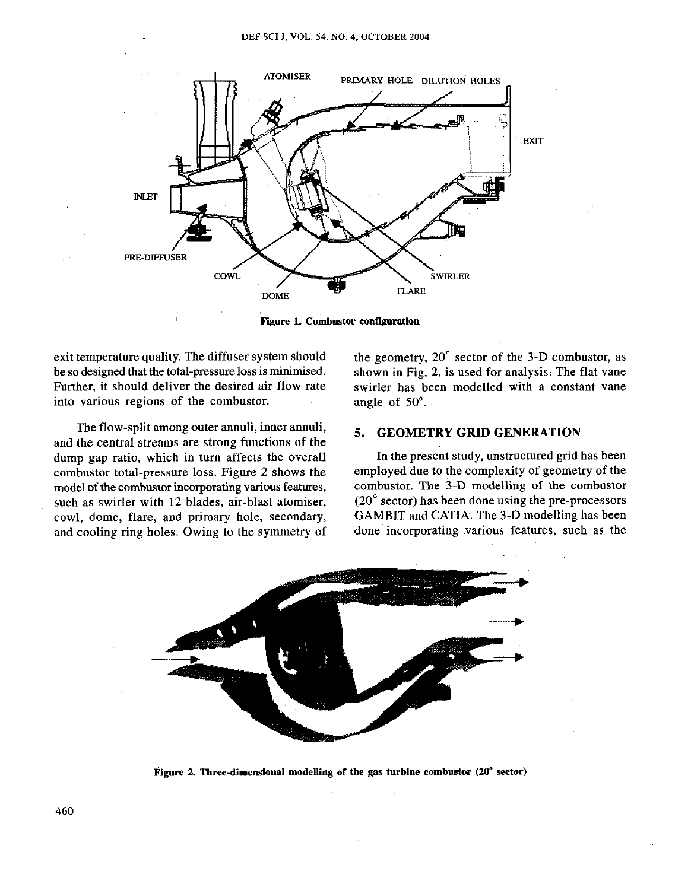

**Figure 1. Combustor configuration** 

exit temperature quality. The diffuser system should the geometry, 20° sector of the 3-D combustor, as be so designed that the total-pressure loss is minimised. shown in Fig. 2, is used for analysis. The flat vane Further, it should deliver the desired air flow rate swirler has been modelled with a constant vane into various regions of the combustor. angle of **50'.** 

The flow-split among outer annuli, inner annuli, **5. GEOMETRY GRID GENERATION** and the central streams are strong functions of the dump gap ratio, which in turn affects the overall In the present study, unstructured grid has been combustor total-pressure loss. Figure 2 shows the employed due to the complexity of geometry of the model of the combustor incorporating various features. Combustor. The 3-D modelling of the combustor model of the combustor incorporating various features, such as swirler with 12 blades, air-blast atomiser, (20° sector) has been done using the pre-processors cowl, dome, flare, and primary hole, secondary, GAMBIT and CATIA. The 3-D modelling has been cowl, dome, flare, and primary hole, secondary, GAMBIT and CATIA. The 3-D modelling has been<br>and cooling ring holes. Owing to the symmetry of done incorporating various features, such as the and cooling ring holes. Owing to the symmetry of



**Figure 2. Three-dimensional modelling of the gas turbine combustor (20" sector)**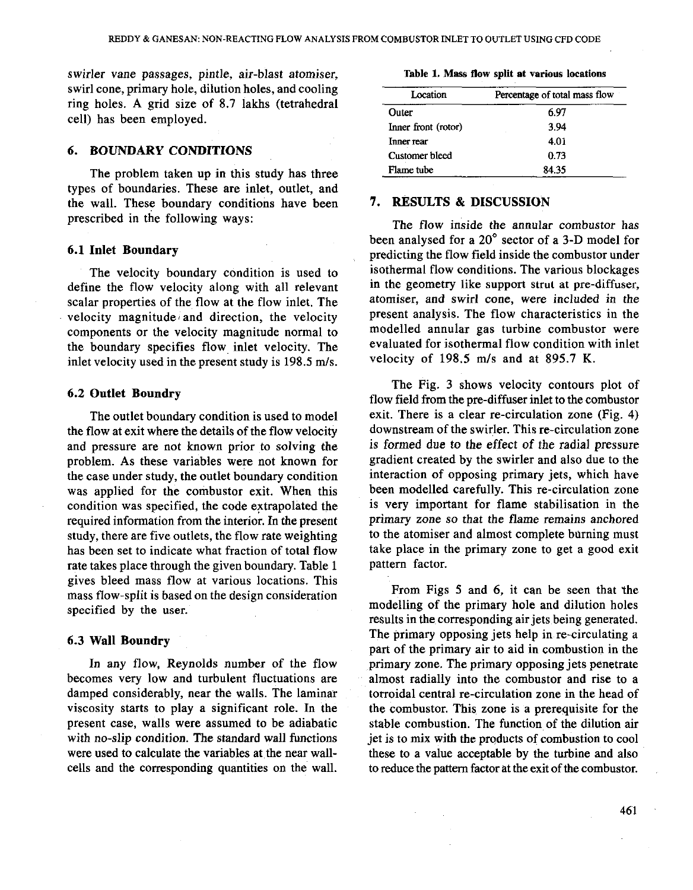swirler vane passages, pintle, air-blast atomiser, swirl cone, primary hole, dilution holes, and cooling ring holes. A grid size of 8.7 lakhs (tetrahedral cell) has been employed.

### 6. BOUNDARY CONDITIONS

The problem taken up in this study has three types of boundaries. These are inlet, outlet, and the wall. These boundary conditions have been prescribed in the following ways:

### 6.1 Inlet Boundary

The velocity boundary condition is used to define the flow velocity along with all relevant scalar properties of the flow at the flow inlet. The velocity magnitude and direction, the velocity components or the velocity magnitude normal to the boundary specifies flow inlet velocity. The inlet velocity used in the present study is 198.5 m/s.

### 6.2 Outlet Boundry

The outlet boundary condition is used to model the flow at exit where the details of the flow velocity and pressure are not known prior to solving the problem. As these variables were not known for the case under study, the outlet boundary condition was applied for the combustor exit. When this condition was specified, the code extrapolated the required information from the interior. In the present study, there are five outlets, the flow rate weighting has been set to indicate what fraction of total flow rate takes place through the given boundary. Table 1 gives bleed mass flow at various locations. This mass flow-split is based on the design consideration specified by the user.

### 6.3 Wall Boundry

In any flow, Reynolds number of the flow becomes very low and turbulent fluctuations are damped considerably, near the walls. The laminar viscosity starts to play a significant role. In the present case, walls were assumed to be adiabatic with no-slip condition. The standard wall functions were used to calculate the variables at the near wallcells and the corresponding quantities on the wall.

|  |  |  |  |  |  |  | Table 1. Mass flow split at various locations |
|--|--|--|--|--|--|--|-----------------------------------------------|
|--|--|--|--|--|--|--|-----------------------------------------------|

| Location            | Percentage of total mass flow |  |  |
|---------------------|-------------------------------|--|--|
| Outer               | 6.97                          |  |  |
| Inner front (rotor) | 3.94                          |  |  |
| Inner rear          | 4.01                          |  |  |
| Customer bleed      | 0.73                          |  |  |
| Flame tube          | 84.35                         |  |  |

# 7. RESULTS & DISCUSSION

The flow inside the annular combustor has been analysed for a **20'** sector of a 3-D model for predicting the flow field inside the combustor under isothermal flow conditions. The various blockages in the geometry like support strut at pre-diffuser, atomiser, and swirl cone, were included in the present analysis. The flow characteristics in the modelled annular gas turbine combustor were evaluated for isothermal flow condition with inlet velocity of  $198.5$  m/s and at  $895.7$  K.

The Fig. 3 shows velocity contours plot of flow field from the pre-diffuser inlet to the combustor exit. There is a clear re-circulation zone (Fig. 4) downstream of the swirler. This re-circulation zone is formed due to the effect of the radial pressure gradient created by the swirler and also due to the interaction of opposing primary jets, which have been modelled carefully. This re-circulation zone is very important for flame stabilisation in the primary zone so that the flame remains anchored to the atomiser and almost complete bdrning must take place in the primary zone to get a good exit pattern factor.

From Figs 5 and 6, it can be seen that the modelling of the primary hole and dilution holes results in the corresponding air jets being generated. The primary opposing jets help in re-circulating a part of the primary air to aid in combustion in the primary zone. The primary opposing jets penetrate almost radially into the combustor and rise to a torroidal central re-circulation zone in the head of the combustor. This zone is a prerequisite for the stable combustion. The function of the dilution air jet is to mix with the products of combustion to cool these to a value acceptable by the turbine and also to reduce the pattern factor at the exit of the combustor.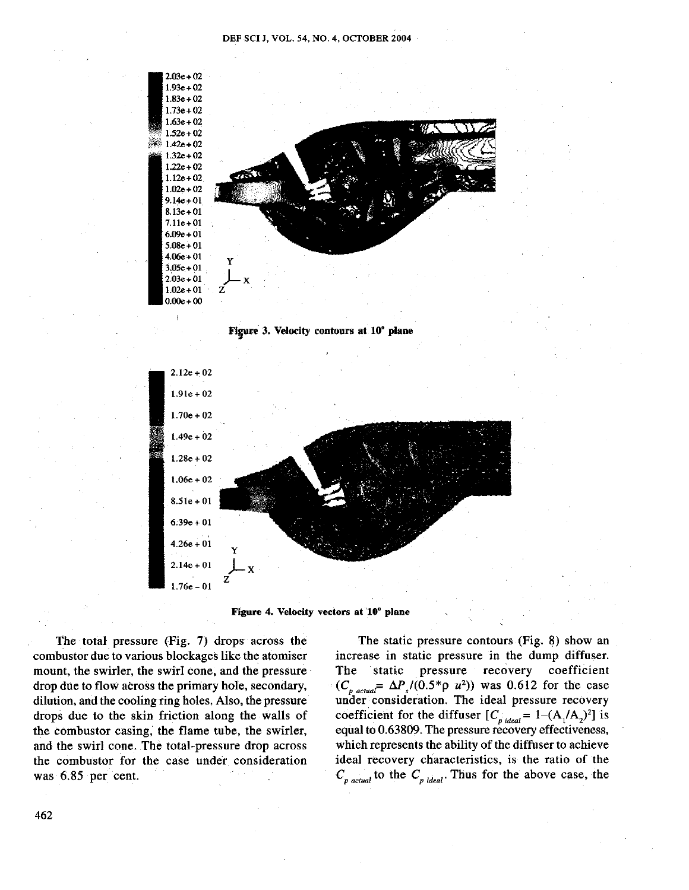





The total pressure (Fig. 7) drops across the combustor due to various blockages like the atomiser mount, the swirler, the swirl cone, and the pressure drop due to flow across the primary hole, secondary, dilution, and the cooling ring holes. Also, the pressure drops due to the skin friction along the walls of the combustor casing, the flame tube, the swirler, and the swirl cone. The total-pressure drop across the combustor for the case under consideration was 6.85 per cent.

The static pressure contours (Fig. 8) show an increase in static pressure in the dump diffuser. The static pressure recovery coefficient  $(C_{p \text{ actual}} = \Delta P_s/(0.5^* \rho u^2))$  was 0.612 for the case under consideration. The ideal pressure recovery coefficient for the diffuser  $[C_{p \text{ ideal}} = 1-(A_1/A_2)^2]$  is equal to 0.63809. The pressure recovery effectiveness, which represents the ability of the diffuser to achieve ideal recovery characteristics, is the ratio of the  $C_{p \text{ actual}}$  to the  $C_{p \text{ ideal}}$ . Thus for the above case, the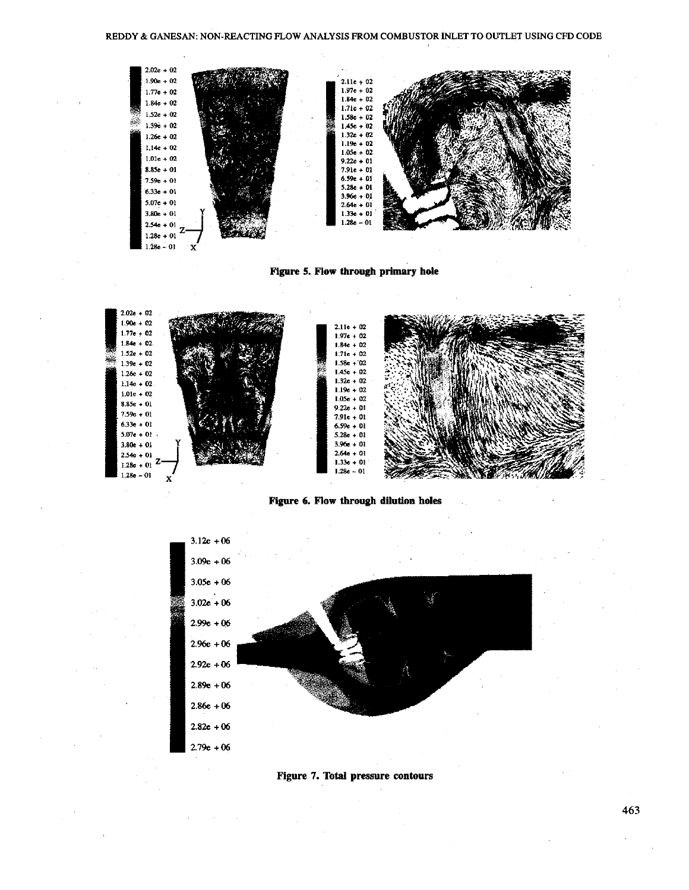

**Figure 5. Flow through primary hole** 



**Figure 6. Flow through dilution holes** 





463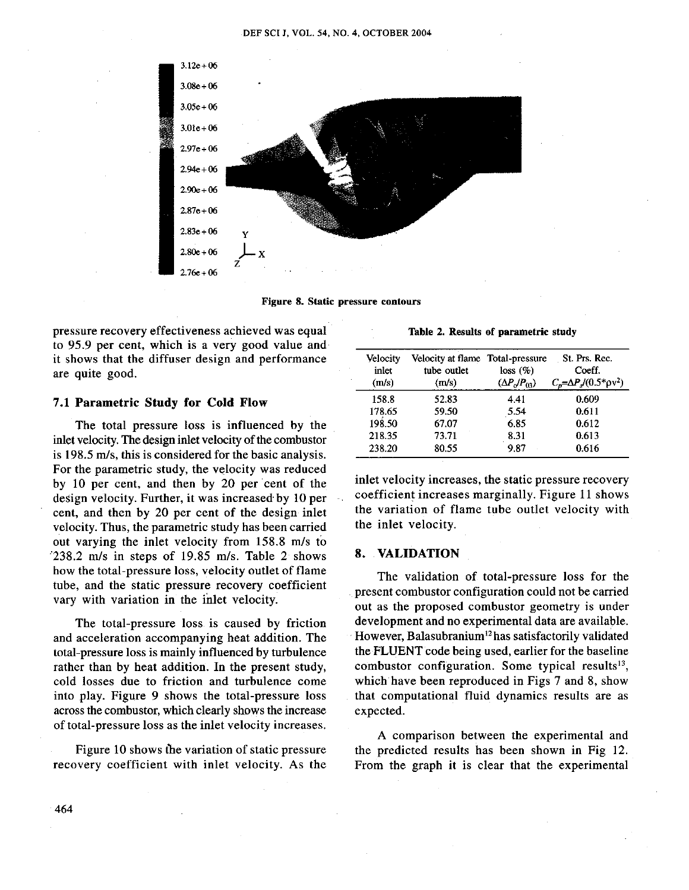

**Figure 8. Static pressure contours** 

pressure recovery effectiveness achieved was equal to 95.9 per cent, which is a very good value and it shows that the diffuser design and performance are quite good.

## **7.1 Parametric Study for Cold Flow**

The total pressure loss is influenced by the inlet velocity. The design inlet velocity of the combustor is 198.5 m/s, this is considered for the basic analysis. For the parametric study, the velocity was reduced by 10 per cent, and then by 20 per cent of the design velocity. Further, it was increased by 10 per cent, and then by 20 per cent of the design inlet velocity. Thus, the parametric study has been carried out varying the inlet velocity from 158.8 m/s to 238.2 m/s in steps of 19.85 m/s. Table 2 shows how the total-pressure loss, velocity outlet of flame tube, and the static pressure recovery coefficient vary with variation in the inlet velocity.

The total-pressure loss is caused by friction and acceleration accompanying heat addition. The total-pressure loss is mainly influenced by turbulence rather than by heat addition. In the present study, cold losses due to friction and turbulence come into play. Figure 9 shows the total-pressure loss across the combustor, which clearly shows the increase of total-pressure loss as the inlet velocity increases.

Figure 10 shows the variation of static pressure recovery coefficient with inlet velocity. As the

**Table 2. Results of parametric study** 

| Velocity<br>inlet<br>(m/s) | Velocity at flame Total-pressure<br>tube outlet<br>(m/s) | loss(%)<br>$(\Delta P_o/P_{03})$ | St. Prs. Rec.<br>Coeff.<br>$C_p = \Delta P_s / (0.5^* \text{pv}^2)$ |
|----------------------------|----------------------------------------------------------|----------------------------------|---------------------------------------------------------------------|
| 158.8                      | 52.83                                                    | 4.41                             | 0.609                                                               |
| 178.65                     | 59.50                                                    | 5.54                             | 0.611                                                               |
| 198.50                     | 67.07                                                    | 6.85                             | 0.612                                                               |
| 218.35                     | 73.71                                                    | 8.31                             | 0.613                                                               |
| 238.20                     | 80.55                                                    | 9.87                             | 0.616                                                               |

inlet velocity increases, the static pressure recovery coefficient increases marginally. Figure 11 shows the variation of flame tube outlet velocity with the inlet velocity.

### **8. VALIDATION**

The validation of total-pressure loss for the present combustor configuration could not be carried out as the proposed combustor geometry is under development and no experimental data are available. However, Balasubranium<sup>12</sup> has satisfactorily validated the FLUENT code being used, earlier for the baseline combustor configuration. Some typical results<sup>13</sup>, which have been reproduced in Figs 7 and 8, show that computational fluid dynamics results are as expected.

A comparison between the experimental and the predicted results has been shown in Fig 12. From the graph it is clear that the experimental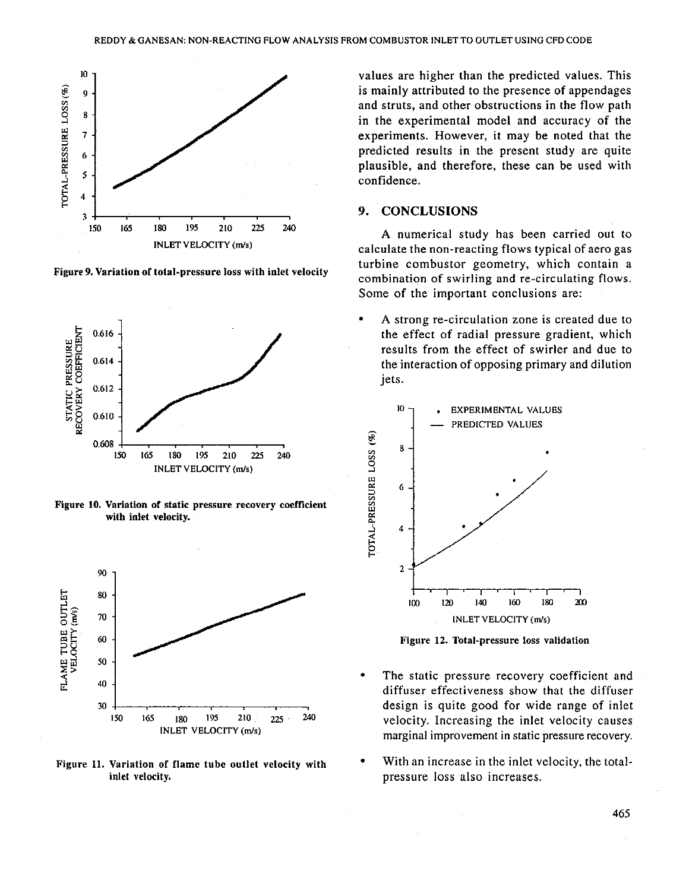

**Figure 9. Variation of total-pressure loss with inlet velocity** 



**Figure 10. Variation of static pressure recovery coefficient with inlet velocity.** 



**Figure 11. Variation of flame tube outlet velocity with inlet velocity.** 

values are higher than the predicted values. This is mainly attributed to the presence of appendages and struts, and other obstructions in the flow path in the experimental model and accuracy of the experiments. However, it may be noted that the predicted results in the present study are quite plausible, and therefore, these can be used with confidence.

# **9. CONCLUSIONS**

**A** numerical study has been carried out to calculate the non-reacting flows typical of aero gas turbine combustor geometry, which contain a combination of swirling and re-circulating flows. Some of the important conclusions are:

**A** strong re-circulation zone is created due to the effect of radial pressure gradient, which results from the effect of swirler and due to the interaction of opposing primary and dilution jets.



**Figure 12. Total-pressure loss validation** 

- The static pressure recovery coefficient and diffuser effectiveness show that the diffuser design is quite good for wide range of inlet velocity. Increasing the inlet velocity causes marginal improvement in static pressure recovery.
- With an increase in the inlet velocity, the totalpressure loss also increases.